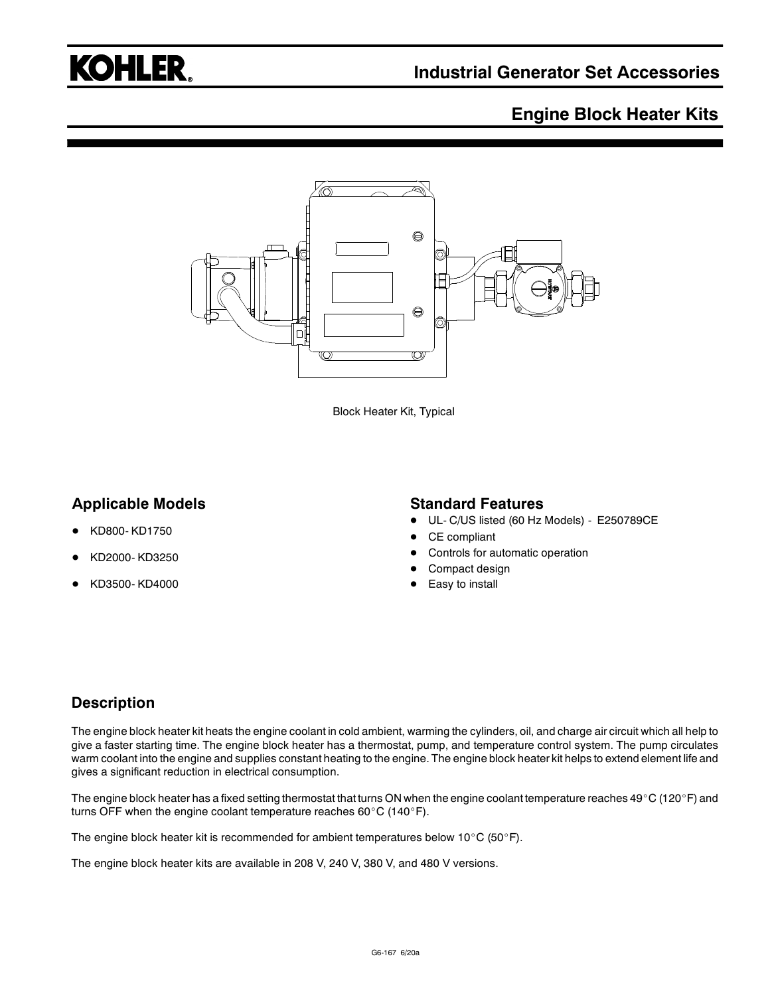## **KOHLER.**

## **Engine Block Heater Kits**



Block Heater Kit, Typical

## **Applicable Models**

- KD800- KD1750
- KD2000- KD3250
- KD3500- KD4000

#### **Standard Features**

- UL- C/US listed (60 Hz Models) E250789CE
- CE compliant
- Controls for automatic operation
- Compact design
- Easy to install

## **Description**

The engine block heater kit heats the engine coolant in cold ambient, warming the cylinders, oil, and charge air circuit which all help to give a faster starting time. The engine block heater has a thermostat, pump, and temperature control system. The pump circulates warm coolant into the engine and supplies constant heating to the engine. The engine block heater kit helps to extend element life and gives a significant reduction in electrical consumption.

The engine block heater has a fixed setting thermostat that turns ON when the engine coolant temperature reaches 49°C (120°F) and turns OFF when the engine coolant temperature reaches 60 $^{\circ}$ C (140 $^{\circ}$ F).

The engine block heater kit is recommended for ambient temperatures below 10°C (50°F).

The engine block heater kits are available in 208 V, 240 V, 380 V, and 480 V versions.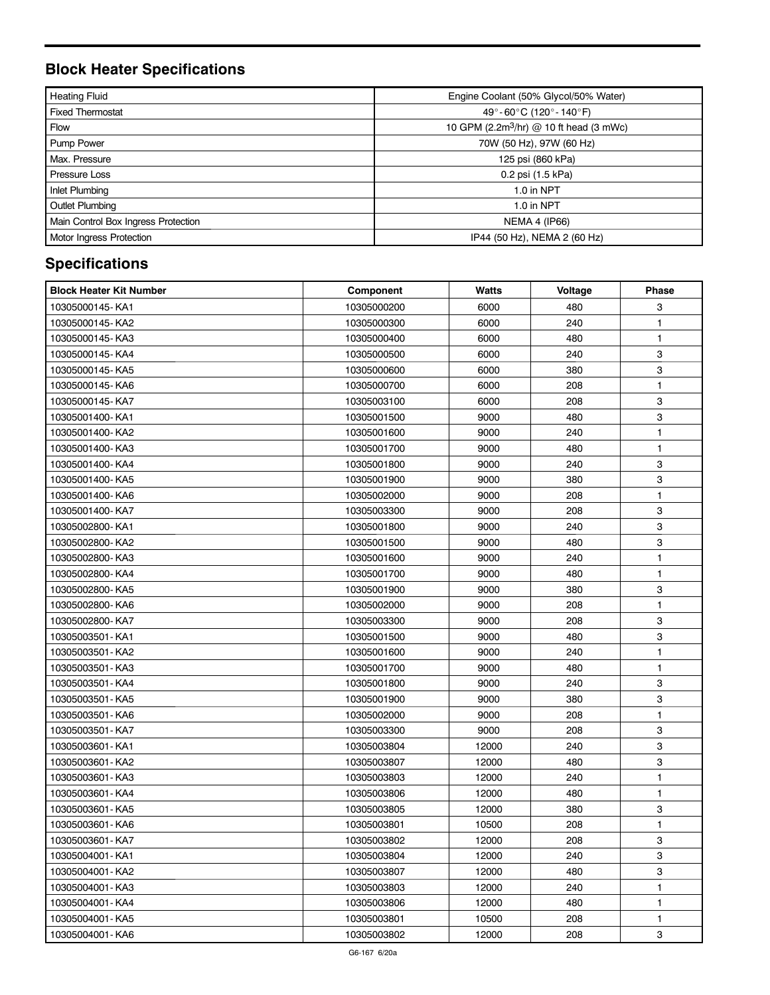## **Block Heater Specifications**

| <b>Heating Fluid</b>                | Engine Coolant (50% Glycol/50% Water)               |  |  |
|-------------------------------------|-----------------------------------------------------|--|--|
| <b>Fixed Thermostat</b>             | 49°-60°C (120°-140°F)                               |  |  |
| <b>Flow</b>                         | 10 GPM (2.2m <sup>3</sup> /hr) @ 10 ft head (3 mWc) |  |  |
| <b>Pump Power</b>                   | 70W (50 Hz), 97W (60 Hz)                            |  |  |
| Max. Pressure                       | 125 psi (860 kPa)                                   |  |  |
| Pressure Loss                       | 0.2 psi (1.5 kPa)                                   |  |  |
| Inlet Plumbing                      | 1.0 in NPT                                          |  |  |
| <b>Outlet Plumbing</b>              | 1.0 in NPT                                          |  |  |
| Main Control Box Ingress Protection | <b>NEMA 4 (IP66)</b>                                |  |  |
| Motor Ingress Protection            | IP44 (50 Hz), NEMA 2 (60 Hz)                        |  |  |

## **Specifications**

| <b>Block Heater Kit Number</b> | Component   | Watts | Voltage | <b>Phase</b> |
|--------------------------------|-------------|-------|---------|--------------|
| 10305000145-KA1                | 10305000200 | 6000  | 480     | 3            |
| 10305000145-KA2                | 10305000300 | 6000  | 240     | 1            |
| 10305000145-KA3                | 10305000400 | 6000  | 480     | 1            |
| 10305000145-KA4                | 10305000500 | 6000  | 240     | 3            |
| 10305000145-KA5                | 10305000600 | 6000  | 380     | 3            |
| 10305000145-KA6                | 10305000700 | 6000  | 208     | $\mathbf{1}$ |
| 10305000145-KA7                | 10305003100 | 6000  | 208     | 3            |
| 10305001400-KA1                | 10305001500 | 9000  | 480     | 3            |
| 10305001400-KA2                | 10305001600 | 9000  | 240     | 1            |
| 10305001400-KA3                | 10305001700 | 9000  | 480     | $\mathbf{1}$ |
| 10305001400-KA4                | 10305001800 | 9000  | 240     | 3            |
| 10305001400-KA5                | 10305001900 | 9000  | 380     | 3            |
| 10305001400-KA6                | 10305002000 | 9000  | 208     | 1            |
| 10305001400-KA7                | 10305003300 | 9000  | 208     | 3            |
| 10305002800-KA1                | 10305001800 | 9000  | 240     | 3            |
| 10305002800-KA2                | 10305001500 | 9000  | 480     | 3            |
| 10305002800-KA3                | 10305001600 | 9000  | 240     | 1            |
| 10305002800-KA4                | 10305001700 | 9000  | 480     | 1            |
| 10305002800-KA5                | 10305001900 | 9000  | 380     | 3            |
| 10305002800-KA6                | 10305002000 | 9000  | 208     | $\mathbf{1}$ |
| 10305002800-KA7                | 10305003300 | 9000  | 208     | 3            |
| 10305003501-KA1                | 10305001500 | 9000  | 480     | $\mathbf 3$  |
| 10305003501-KA2                | 10305001600 | 9000  | 240     | $\mathbf{1}$ |
| 10305003501-KA3                | 10305001700 | 9000  | 480     | $\mathbf{1}$ |
| 10305003501-KA4                | 10305001800 | 9000  | 240     | 3            |
| 10305003501-KA5                | 10305001900 | 9000  | 380     | 3            |
| 10305003501-KA6                | 10305002000 | 9000  | 208     | 1            |
| 10305003501-KA7                | 10305003300 | 9000  | 208     | 3            |
| 10305003601-KA1                | 10305003804 | 12000 | 240     | 3            |
| 10305003601-KA2                | 10305003807 | 12000 | 480     | 3            |
| 10305003601-KA3                | 10305003803 | 12000 | 240     | $\mathbf{1}$ |
| 10305003601-KA4                | 10305003806 | 12000 | 480     | $\mathbf{1}$ |
| 10305003601-KA5                | 10305003805 | 12000 | 380     | 3            |
| 10305003601-KA6                | 10305003801 | 10500 | 208     | 1            |
| 10305003601-KA7                | 10305003802 | 12000 | 208     | 3            |
| 10305004001-KA1                | 10305003804 | 12000 | 240     | 3            |
| 10305004001-KA2                | 10305003807 | 12000 | 480     | 3            |
| 10305004001-KA3                | 10305003803 | 12000 | 240     | 1            |
| 10305004001-KA4                | 10305003806 | 12000 | 480     | 1            |
| 10305004001-KA5                | 10305003801 | 10500 | 208     | 1            |
| 10305004001-KA6                | 10305003802 | 12000 | 208     | 3            |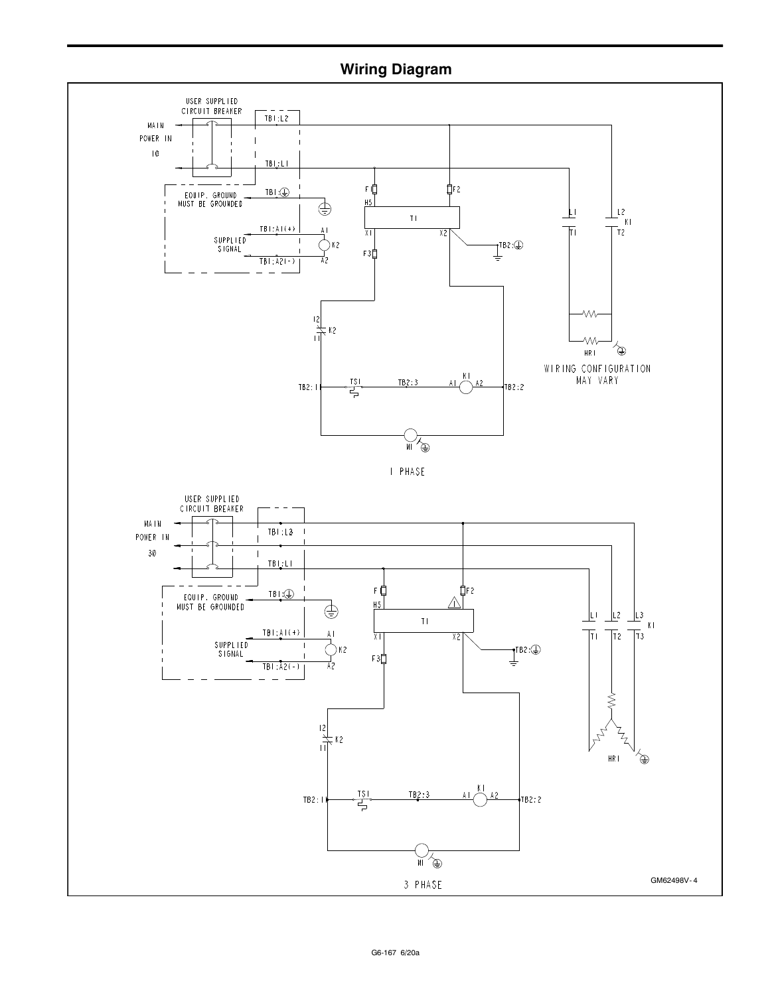## **Wiring Diagram**